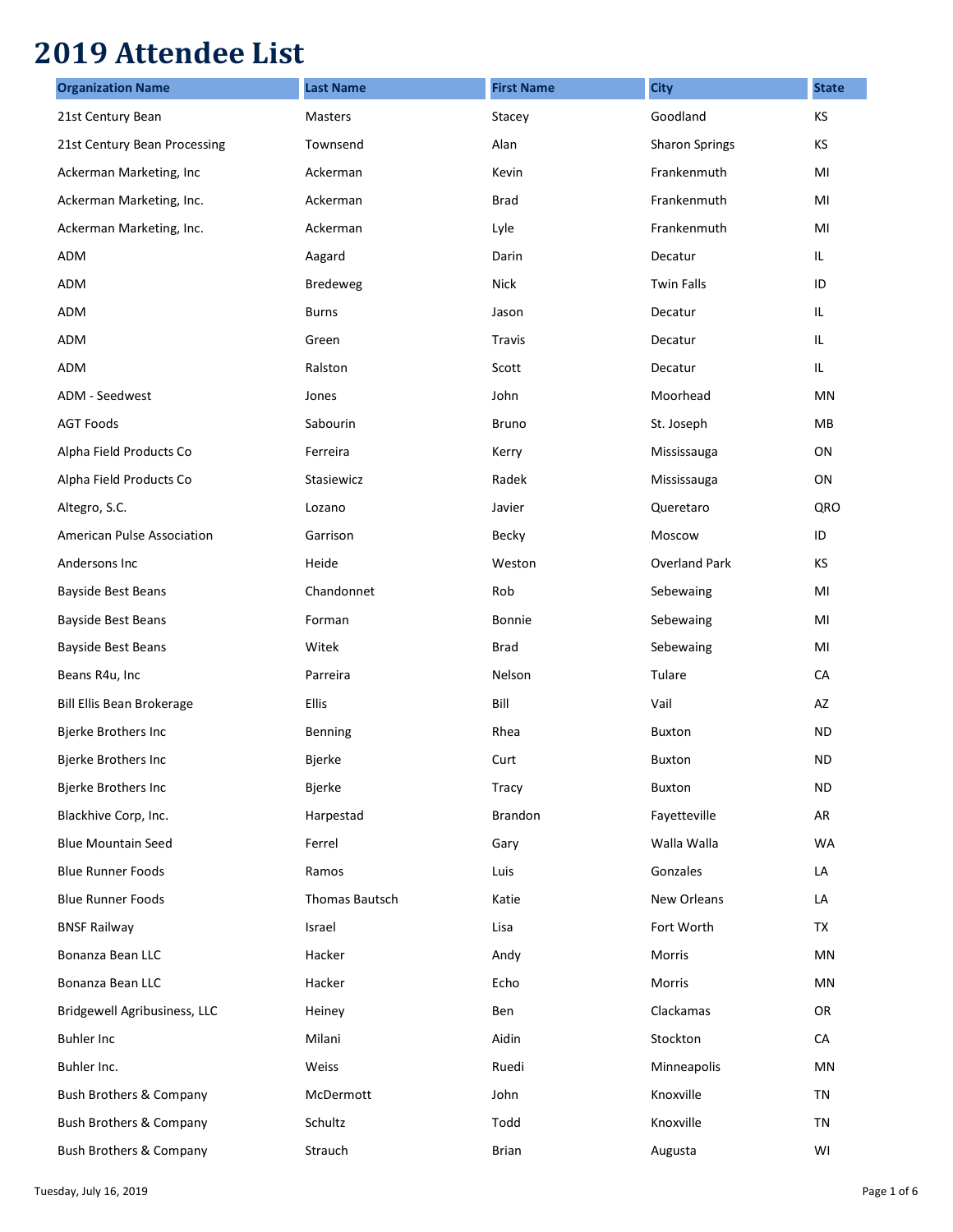## **2019 Attendee List**

| <b>Organization Name</b>           | <b>Last Name</b>      | <b>First Name</b> | <b>City</b>           | <b>State</b> |
|------------------------------------|-----------------------|-------------------|-----------------------|--------------|
| 21st Century Bean                  | Masters               | Stacey            | Goodland              | KS           |
| 21st Century Bean Processing       | Townsend              | Alan              | <b>Sharon Springs</b> | KS           |
| Ackerman Marketing, Inc            | Ackerman              | Kevin             | Frankenmuth           | MI           |
| Ackerman Marketing, Inc.           | Ackerman              | <b>Brad</b>       | Frankenmuth           | MI           |
| Ackerman Marketing, Inc.           | Ackerman              | Lyle              | Frankenmuth           | MI           |
| ADM                                | Aagard                | Darin             | Decatur               | IL.          |
| ADM                                | <b>Bredeweg</b>       | <b>Nick</b>       | <b>Twin Falls</b>     | ID           |
| ADM                                | <b>Burns</b>          | Jason             | Decatur               | IL.          |
| ADM                                | Green                 | <b>Travis</b>     | Decatur               | IL.          |
| ADM                                | Ralston               | Scott             | Decatur               | IL.          |
| ADM - Seedwest                     | Jones                 | John              | Moorhead              | MN           |
| <b>AGT Foods</b>                   | Sabourin              | <b>Bruno</b>      | St. Joseph            | MB           |
| Alpha Field Products Co            | Ferreira              | Kerry             | Mississauga           | ON           |
| Alpha Field Products Co            | Stasiewicz            | Radek             | Mississauga           | ON           |
| Altegro, S.C.                      | Lozano                | Javier            | Queretaro             | QRO          |
| American Pulse Association         | Garrison              | Becky             | Moscow                | ID           |
| Andersons Inc                      | Heide                 | Weston            | <b>Overland Park</b>  | KS           |
| <b>Bayside Best Beans</b>          | Chandonnet            | Rob               | Sebewaing             | MI           |
| <b>Bayside Best Beans</b>          | Forman                | Bonnie            | Sebewaing             | MI           |
| <b>Bayside Best Beans</b>          | Witek                 | Brad              | Sebewaing             | MI           |
| Beans R4u, Inc                     | Parreira              | Nelson            | Tulare                | CA           |
| Bill Ellis Bean Brokerage          | Ellis                 | Bill              | Vail                  | AZ           |
| Bjerke Brothers Inc                | Benning               | Rhea              | <b>Buxton</b>         | <b>ND</b>    |
| <b>Bjerke Brothers Inc</b>         | Bjerke                | Curt              | <b>Buxton</b>         | <b>ND</b>    |
| Bjerke Brothers Inc                | Bjerke                | Tracy             | Buxton                | <b>ND</b>    |
| Blackhive Corp, Inc.               | Harpestad             | Brandon           | Fayetteville          | AR           |
| <b>Blue Mountain Seed</b>          | Ferrel                | Gary              | Walla Walla           | <b>WA</b>    |
| <b>Blue Runner Foods</b>           | Ramos                 | Luis              | Gonzales              | LA           |
| <b>Blue Runner Foods</b>           | <b>Thomas Bautsch</b> | Katie             | New Orleans           | LA           |
| <b>BNSF Railway</b>                | Israel                | Lisa              | Fort Worth            | TX           |
| Bonanza Bean LLC                   | Hacker                | Andy              | Morris                | MN           |
| Bonanza Bean LLC                   | Hacker                | Echo              | Morris                | MN           |
| Bridgewell Agribusiness, LLC       | Heiney                | Ben               | Clackamas             | OR           |
| <b>Buhler Inc</b>                  | Milani                | Aidin             | Stockton              | CA           |
| Buhler Inc.                        | Weiss                 | Ruedi             | Minneapolis           | MN           |
| <b>Bush Brothers &amp; Company</b> | McDermott             | John              | Knoxville             | TN           |
| <b>Bush Brothers &amp; Company</b> | Schultz               | Todd              | Knoxville             | TN           |
| <b>Bush Brothers &amp; Company</b> | Strauch               | <b>Brian</b>      | Augusta               | WI           |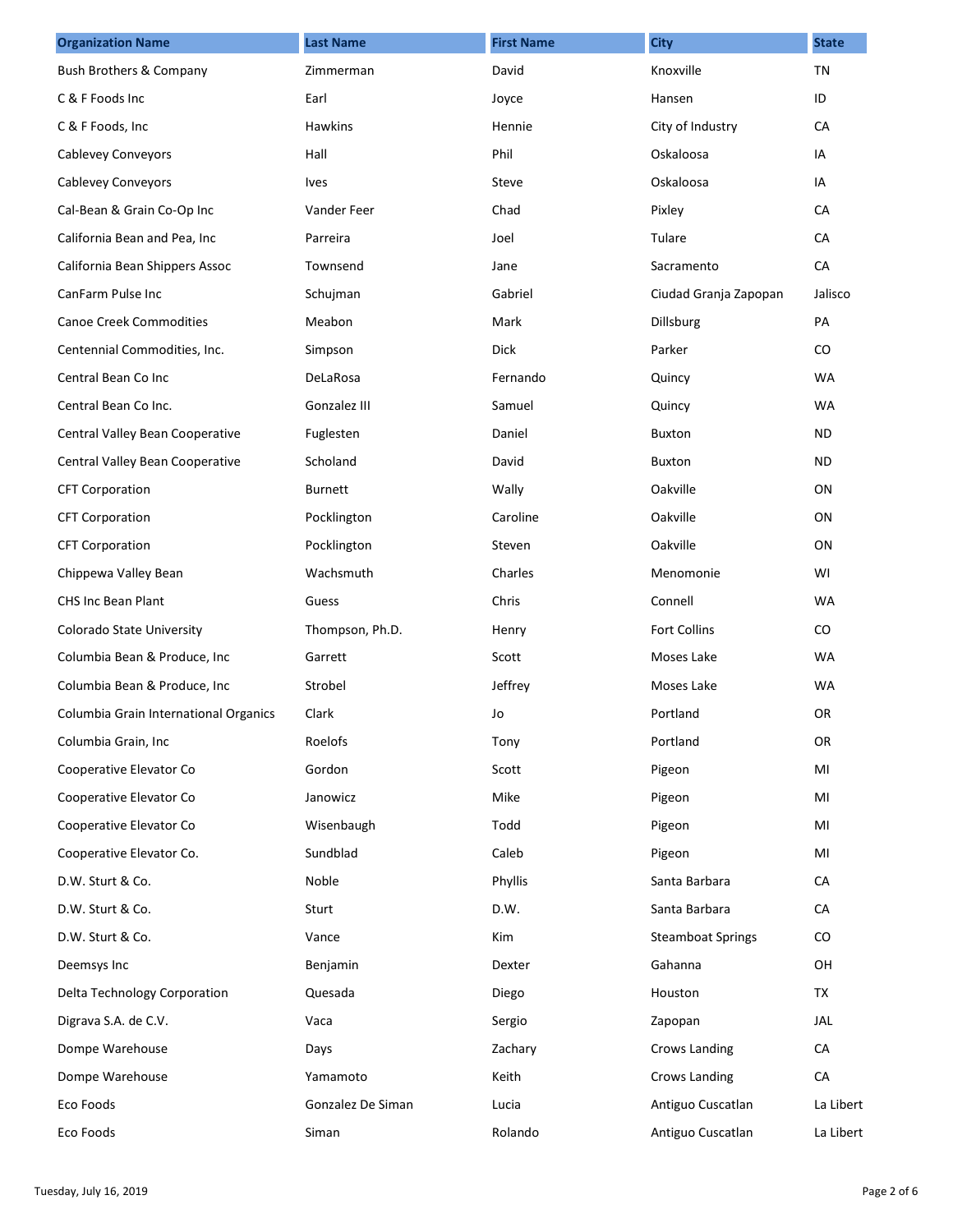| <b>Organization Name</b>              | <b>Last Name</b>  | <b>First Name</b> | <b>City</b>              | <b>State</b> |
|---------------------------------------|-------------------|-------------------|--------------------------|--------------|
| <b>Bush Brothers &amp; Company</b>    | Zimmerman         | David             | Knoxville                | <b>TN</b>    |
| C & F Foods Inc                       | Earl              | Joyce             | Hansen                   | ID           |
| C & F Foods, Inc                      | Hawkins           | Hennie            | City of Industry         | CA           |
| <b>Cablevey Conveyors</b>             | Hall              | Phil              | Oskaloosa                | IA           |
| <b>Cablevey Conveyors</b>             | <b>Ives</b>       | Steve             | Oskaloosa                | IA           |
| Cal-Bean & Grain Co-Op Inc            | Vander Feer       | Chad              | Pixley                   | CA           |
| California Bean and Pea, Inc          | Parreira          | Joel              | Tulare                   | CA           |
| California Bean Shippers Assoc        | Townsend          | Jane              | Sacramento               | CA           |
| CanFarm Pulse Inc                     | Schujman          | Gabriel           | Ciudad Granja Zapopan    | Jalisco      |
| <b>Canoe Creek Commodities</b>        | Meabon            | Mark              | <b>Dillsburg</b>         | PA           |
| Centennial Commodities, Inc.          | Simpson           | <b>Dick</b>       | Parker                   | $\rm CO$     |
| Central Bean Co Inc                   | DeLaRosa          | Fernando          | Quincy                   | <b>WA</b>    |
| Central Bean Co Inc.                  | Gonzalez III      | Samuel            | Quincy                   | <b>WA</b>    |
| Central Valley Bean Cooperative       | Fuglesten         | Daniel            | <b>Buxton</b>            | ND.          |
| Central Valley Bean Cooperative       | Scholand          | David             | <b>Buxton</b>            | <b>ND</b>    |
| <b>CFT Corporation</b>                | <b>Burnett</b>    | Wally             | Oakville                 | ON           |
| <b>CFT Corporation</b>                | Pocklington       | Caroline          | Oakville                 | ON           |
| <b>CFT Corporation</b>                | Pocklington       | Steven            | Oakville                 | ON           |
| Chippewa Valley Bean                  | Wachsmuth         | Charles           | Menomonie                | WI           |
| <b>CHS Inc Bean Plant</b>             | Guess             | Chris             | Connell                  | <b>WA</b>    |
| Colorado State University             | Thompson, Ph.D.   | Henry             | <b>Fort Collins</b>      | $\rm CO$     |
| Columbia Bean & Produce, Inc          | Garrett           | Scott             | Moses Lake               | <b>WA</b>    |
| Columbia Bean & Produce, Inc          | Strobel           | Jeffrey           | Moses Lake               | <b>WA</b>    |
| Columbia Grain International Organics | Clark             | Jo                | Portland                 | <b>OR</b>    |
| Columbia Grain, Inc                   | Roelofs           | Tony              | Portland                 | OR           |
| Cooperative Elevator Co               | Gordon            | Scott             | Pigeon                   | MI           |
| Cooperative Elevator Co               | Janowicz          | Mike              | Pigeon                   | MI           |
| Cooperative Elevator Co               | Wisenbaugh        | Todd              | Pigeon                   | MI           |
| Cooperative Elevator Co.              | Sundblad          | Caleb             | Pigeon                   | MI           |
| D.W. Sturt & Co.                      | Noble             | Phyllis           | Santa Barbara            | CA           |
| D.W. Sturt & Co.                      | Sturt             | D.W.              | Santa Barbara            | CA           |
| D.W. Sturt & Co.                      | Vance             | Kim               | <b>Steamboat Springs</b> | CO           |
| Deemsys Inc                           | Benjamin          | Dexter            | Gahanna                  | OH           |
| Delta Technology Corporation          | Quesada           | Diego             | Houston                  | TX           |
| Digrava S.A. de C.V.                  | Vaca              | Sergio            | Zapopan                  | JAL          |
| Dompe Warehouse                       | Days              | Zachary           | Crows Landing            | CA           |
| Dompe Warehouse                       | Yamamoto          | Keith             | Crows Landing            | CA           |
| Eco Foods                             | Gonzalez De Siman | Lucia             | Antiguo Cuscatlan        | La Libert    |
| Eco Foods                             | Siman             | Rolando           | Antiguo Cuscatlan        | La Libert    |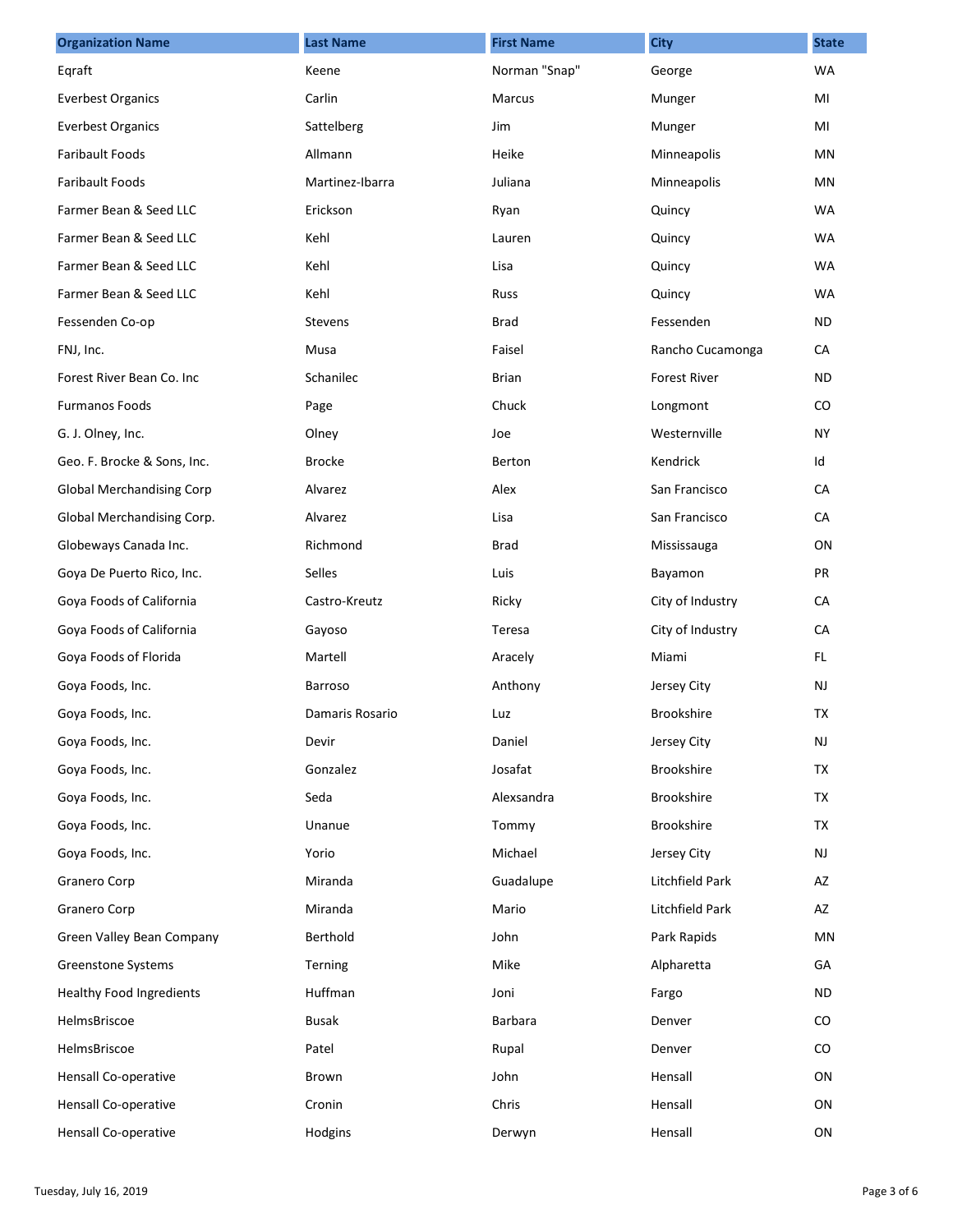| <b>Organization Name</b>         | <b>Last Name</b> | <b>First Name</b> | <b>City</b>         | <b>State</b> |
|----------------------------------|------------------|-------------------|---------------------|--------------|
| Eqraft                           | Keene            | Norman "Snap"     | George              | <b>WA</b>    |
| <b>Everbest Organics</b>         | Carlin           | Marcus            | Munger              | MI           |
| <b>Everbest Organics</b>         | Sattelberg       | Jim               | Munger              | MI           |
| <b>Faribault Foods</b>           | Allmann          | Heike             | Minneapolis         | ΜN           |
| <b>Faribault Foods</b>           | Martinez-Ibarra  | Juliana           | Minneapolis         | MN           |
| Farmer Bean & Seed LLC           | Erickson         | Ryan              | Quincy              | <b>WA</b>    |
| Farmer Bean & Seed LLC           | Kehl             | Lauren            | Quincy              | <b>WA</b>    |
| Farmer Bean & Seed LLC           | Kehl             | Lisa              | Quincy              | <b>WA</b>    |
| Farmer Bean & Seed LLC           | Kehl             | Russ              | Quincy              | <b>WA</b>    |
| Fessenden Co-op                  | <b>Stevens</b>   | <b>Brad</b>       | Fessenden           | ND.          |
| FNJ, Inc.                        | Musa             | Faisel            | Rancho Cucamonga    | CA           |
| Forest River Bean Co. Inc.       | Schanilec        | <b>Brian</b>      | <b>Forest River</b> | ND.          |
| <b>Furmanos Foods</b>            | Page             | Chuck             | Longmont            | CO           |
| G. J. Olney, Inc.                | Olney            | Joe               | Westernville        | <b>NY</b>    |
| Geo. F. Brocke & Sons, Inc.      | <b>Brocke</b>    | Berton            | Kendrick            | Id           |
| <b>Global Merchandising Corp</b> | Alvarez          | Alex              | San Francisco       | CA           |
| Global Merchandising Corp.       | Alvarez          | Lisa              | San Francisco       | CA           |
| Globeways Canada Inc.            | Richmond         | <b>Brad</b>       | Mississauga         | ON           |
| Goya De Puerto Rico, Inc.        | Selles           | Luis              | Bayamon             | PR           |
| Goya Foods of California         | Castro-Kreutz    | Ricky             | City of Industry    | CA           |
| Goya Foods of California         | Gayoso           | Teresa            | City of Industry    | CA           |
| Goya Foods of Florida            | Martell          | Aracely           | Miami               | FL.          |
| Goya Foods, Inc.                 | <b>Barroso</b>   | Anthony           | Jersey City         | NJ           |
| Goya Foods, Inc.                 | Damaris Rosario  | Luz               | <b>Brookshire</b>   | TX           |
| Goya Foods, Inc.                 | Devir            | Daniel            | Jersey City         | NJ           |
| Goya Foods, Inc.                 | Gonzalez         | Josafat           | Brookshire          | <b>TX</b>    |
| Goya Foods, Inc.                 | Seda             | Alexsandra        | Brookshire          | TX           |
| Goya Foods, Inc.                 | Unanue           | Tommy             | Brookshire          | TX           |
| Goya Foods, Inc.                 | Yorio            | Michael           | Jersey City         | NJ           |
| Granero Corp                     | Miranda          | Guadalupe         | Litchfield Park     | AZ           |
| Granero Corp                     | Miranda          | Mario             | Litchfield Park     | AZ           |
| Green Valley Bean Company        | Berthold         | John              | Park Rapids         | ΜN           |
| Greenstone Systems               | Terning          | Mike              | Alpharetta          | GA           |
| <b>Healthy Food Ingredients</b>  | Huffman          | Joni              | Fargo               | <b>ND</b>    |
| HelmsBriscoe                     | <b>Busak</b>     | Barbara           | Denver              | CO           |
| HelmsBriscoe                     | Patel            | Rupal             | Denver              | CO           |
| Hensall Co-operative             | Brown            | John              | Hensall             | ON           |
| Hensall Co-operative             | Cronin           | Chris             | Hensall             | ON           |
| Hensall Co-operative             | Hodgins          | Derwyn            | Hensall             | ON           |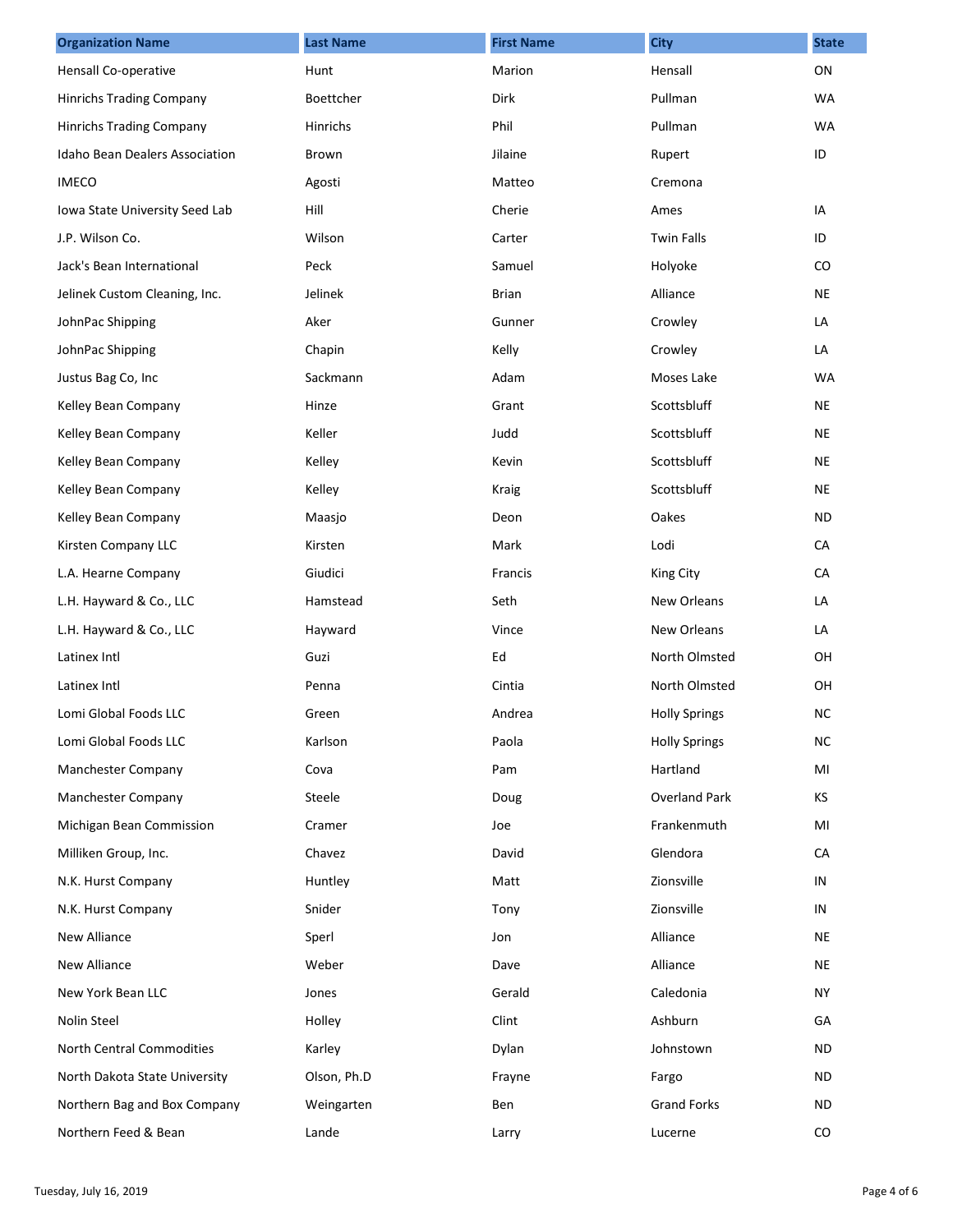| <b>Organization Name</b>       | <b>Last Name</b> | <b>First Name</b> | <b>City</b>          | <b>State</b> |
|--------------------------------|------------------|-------------------|----------------------|--------------|
| Hensall Co-operative           | Hunt             | Marion            | Hensall              | ON           |
| Hinrichs Trading Company       | <b>Boettcher</b> | Dirk              | Pullman              | <b>WA</b>    |
| Hinrichs Trading Company       | Hinrichs         | Phil              | Pullman              | <b>WA</b>    |
| Idaho Bean Dealers Association | Brown            | Jilaine           | Rupert               | ID           |
| <b>IMECO</b>                   | Agosti           | Matteo            | Cremona              |              |
| Iowa State University Seed Lab | Hill             | Cherie            | Ames                 | IA           |
| J.P. Wilson Co.                | Wilson           | Carter            | <b>Twin Falls</b>    | ID           |
| Jack's Bean International      | Peck             | Samuel            | Holyoke              | CO           |
| Jelinek Custom Cleaning, Inc.  | Jelinek          | <b>Brian</b>      | Alliance             | <b>NE</b>    |
| JohnPac Shipping               | Aker             | Gunner            | Crowley              | LA           |
| JohnPac Shipping               | Chapin           | Kelly             | Crowley              | LA           |
| Justus Bag Co, Inc             | Sackmann         | Adam              | Moses Lake           | WA           |
| Kelley Bean Company            | Hinze            | Grant             | Scottsbluff          | <b>NE</b>    |
| Kelley Bean Company            | Keller           | Judd              | Scottsbluff          | NE           |
| Kelley Bean Company            | Kelley           | Kevin             | Scottsbluff          | <b>NE</b>    |
| Kelley Bean Company            | Kelley           | Kraig             | Scottsbluff          | <b>NE</b>    |
| Kelley Bean Company            | Maasjo           | Deon              | Oakes                | ND           |
| Kirsten Company LLC            | Kirsten          | Mark              | Lodi                 | CA           |
| L.A. Hearne Company            | Giudici          | Francis           | King City            | CA           |
| L.H. Hayward & Co., LLC        | Hamstead         | Seth              | <b>New Orleans</b>   | LA           |
| L.H. Hayward & Co., LLC        | Hayward          | Vince             | <b>New Orleans</b>   | LA           |
| Latinex Intl                   | Guzi             | Ed                | North Olmsted        | OH           |
| Latinex Intl                   | Penna            | Cintia            | North Olmsted        | OH           |
| Lomi Global Foods LLC          | Green            | Andrea            | <b>Holly Springs</b> | <b>NC</b>    |
| Lomi Global Foods LLC          | Karlson          | Paola             | <b>Holly Springs</b> | NC.          |
| Manchester Company             | Cova             | Pam               | Hartland             | MI           |
| Manchester Company             | Steele           | Doug              | <b>Overland Park</b> | KS           |
| Michigan Bean Commission       | Cramer           | Joe               | Frankenmuth          | MI           |
| Milliken Group, Inc.           | Chavez           | David             | Glendora             | CA           |
| N.K. Hurst Company             | Huntley          | Matt              | Zionsville           | ${\sf IN}$   |
| N.K. Hurst Company             | Snider           | Tony              | Zionsville           | IN           |
| New Alliance                   | Sperl            | Jon               | Alliance             | <b>NE</b>    |
| New Alliance                   | Weber            | Dave              | Alliance             | <b>NE</b>    |
| New York Bean LLC              | Jones            | Gerald            | Caledonia            | <b>NY</b>    |
| Nolin Steel                    | Holley           | Clint             | Ashburn              | GA           |
| North Central Commodities      | Karley           | Dylan             | Johnstown            | ND           |
| North Dakota State University  | Olson, Ph.D      | Frayne            | Fargo                | ND           |
| Northern Bag and Box Company   | Weingarten       | Ben               | <b>Grand Forks</b>   | <b>ND</b>    |
| Northern Feed & Bean           | Lande            | Larry             | Lucerne              | CO           |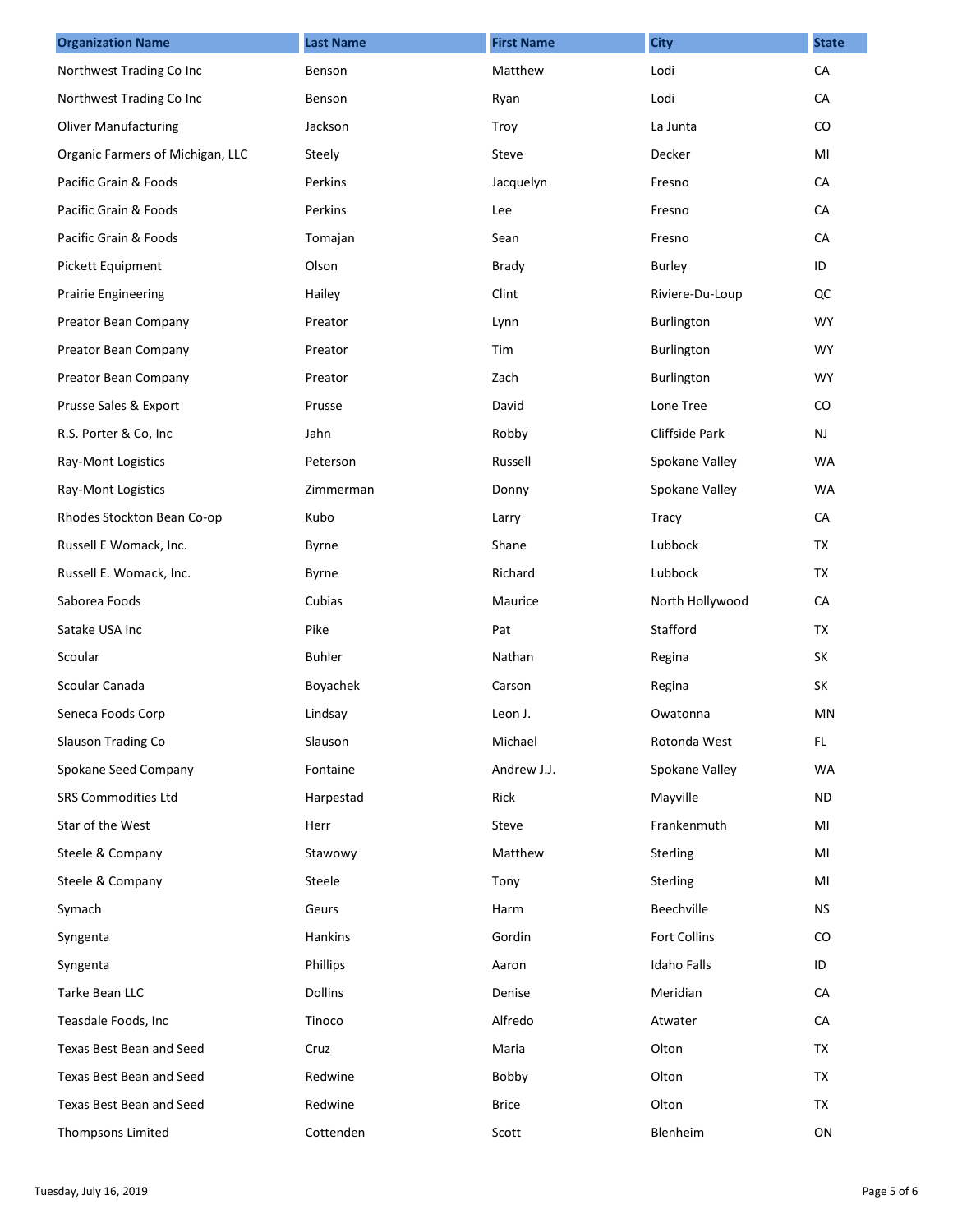| <b>Organization Name</b>         | <b>Last Name</b> | <b>First Name</b> | <b>City</b>        | <b>State</b> |
|----------------------------------|------------------|-------------------|--------------------|--------------|
| Northwest Trading Co Inc         | Benson           | Matthew           | Lodi               | CA           |
| Northwest Trading Co Inc         | Benson           | Ryan              | Lodi               | CA           |
| <b>Oliver Manufacturing</b>      | Jackson          | Troy              | La Junta           | CO           |
| Organic Farmers of Michigan, LLC | Steely           | Steve             | Decker             | MI           |
| Pacific Grain & Foods            | Perkins          | Jacquelyn         | Fresno             | CA           |
| Pacific Grain & Foods            | Perkins          | Lee               | Fresno             | CA           |
| Pacific Grain & Foods            | Tomajan          | Sean              | Fresno             | CA           |
| Pickett Equipment                | Olson            | <b>Brady</b>      | Burley             | ID           |
| <b>Prairie Engineering</b>       | Hailey           | Clint             | Riviere-Du-Loup    | QC           |
| Preator Bean Company             | Preator          | Lynn              | Burlington         | <b>WY</b>    |
| Preator Bean Company             | Preator          | Tim               | Burlington         | <b>WY</b>    |
| Preator Bean Company             | Preator          | Zach              | Burlington         | <b>WY</b>    |
| Prusse Sales & Export            | Prusse           | David             | Lone Tree          | $\rm CO$     |
| R.S. Porter & Co, Inc            | Jahn             | Robby             | Cliffside Park     | <b>NJ</b>    |
| Ray-Mont Logistics               | Peterson         | Russell           | Spokane Valley     | <b>WA</b>    |
| Ray-Mont Logistics               | Zimmerman        | Donny             | Spokane Valley     | <b>WA</b>    |
| Rhodes Stockton Bean Co-op       | Kubo             | Larry             | <b>Tracy</b>       | CA           |
| Russell E Womack, Inc.           | Byrne            | Shane             | Lubbock            | TX           |
| Russell E. Womack, Inc.          | Byrne            | Richard           | Lubbock            | <b>TX</b>    |
| Saborea Foods                    | Cubias           | Maurice           | North Hollywood    | CA           |
| Satake USA Inc                   | Pike             | Pat               | Stafford           | <b>TX</b>    |
| Scoular                          | <b>Buhler</b>    | Nathan            | Regina             | <b>SK</b>    |
| Scoular Canada                   | Boyachek         | Carson            | Regina             | SK           |
| Seneca Foods Corp                | Lindsay          | Leon J.           | Owatonna           | MN           |
| Slauson Trading Co               | Slauson          | Michael           | Rotonda West       | FL.          |
| Spokane Seed Company             | Fontaine         | Andrew J.J.       | Spokane Valley     | <b>WA</b>    |
| SRS Commodities Ltd              | Harpestad        | Rick              | Mayville           | ND.          |
| Star of the West                 | Herr             | Steve             | Frankenmuth        | MI           |
| Steele & Company                 | Stawowy          | Matthew           | Sterling           | MI           |
| Steele & Company                 | Steele           | Tony              | <b>Sterling</b>    | MI           |
| Symach                           | Geurs            | Harm              | Beechville         | <b>NS</b>    |
| Syngenta                         | Hankins          | Gordin            | Fort Collins       | CO.          |
| Syngenta                         | Phillips         | Aaron             | <b>Idaho Falls</b> | ID           |
| Tarke Bean LLC                   | <b>Dollins</b>   | Denise            | Meridian           | CA           |
| Teasdale Foods, Inc              | Tinoco           | Alfredo           | Atwater            | CA           |
| Texas Best Bean and Seed         | Cruz             | Maria             | Olton              | TX           |
| Texas Best Bean and Seed         | Redwine          | Bobby             | Olton              | TX           |
| Texas Best Bean and Seed         | Redwine          | <b>Brice</b>      | Olton              | TX           |
| Thompsons Limited                | Cottenden        | Scott             | Blenheim           | ON           |